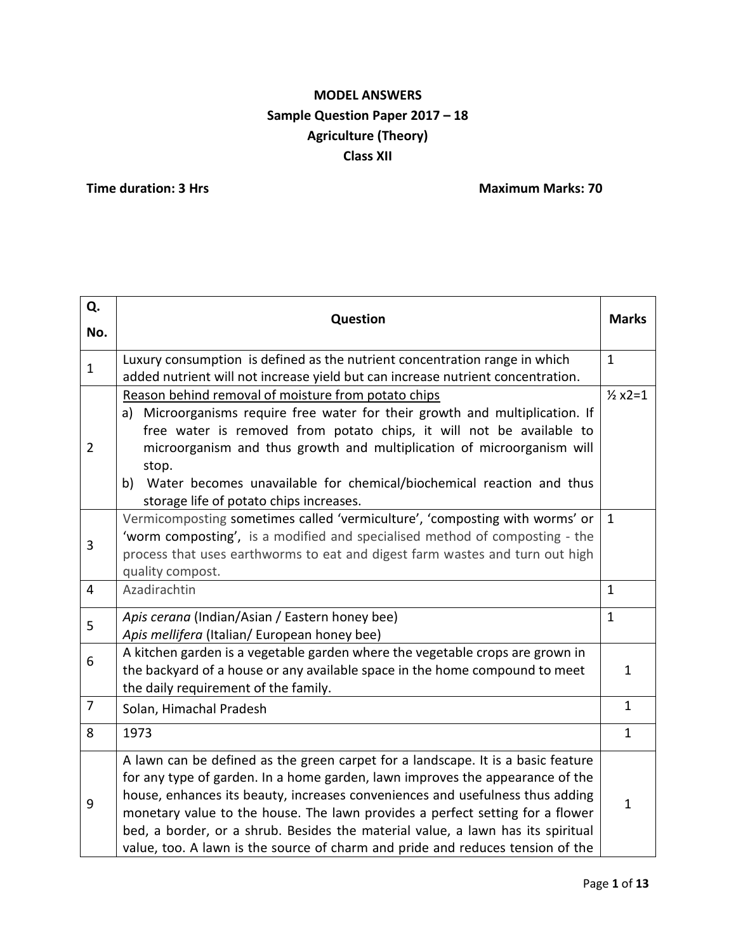# **MODEL ANSWERS Sample Question Paper 2017 – 18 Agriculture (Theory) Class XII**

**Time duration: 3 Hrs** Maximum Marks: 70

| Q.             | <b>Question</b>                                                                                                                                                                                                                                                                                                                                                                                                                                                                                          |              |  |
|----------------|----------------------------------------------------------------------------------------------------------------------------------------------------------------------------------------------------------------------------------------------------------------------------------------------------------------------------------------------------------------------------------------------------------------------------------------------------------------------------------------------------------|--------------|--|
| No.            |                                                                                                                                                                                                                                                                                                                                                                                                                                                                                                          | <b>Marks</b> |  |
| $\mathbf{1}$   | $\mathbf{1}$<br>Luxury consumption is defined as the nutrient concentration range in which<br>added nutrient will not increase yield but can increase nutrient concentration.                                                                                                                                                                                                                                                                                                                            |              |  |
| $\overline{2}$ | Reason behind removal of moisture from potato chips<br>Microorganisms require free water for their growth and multiplication. If<br>a)<br>free water is removed from potato chips, it will not be available to<br>microorganism and thus growth and multiplication of microorganism will<br>stop.<br>Water becomes unavailable for chemical/biochemical reaction and thus<br>b)<br>storage life of potato chips increases.                                                                               |              |  |
| 3              | Vermicomposting sometimes called 'vermiculture', 'composting with worms' or<br>'worm composting', is a modified and specialised method of composting - the<br>process that uses earthworms to eat and digest farm wastes and turn out high<br>quality compost.                                                                                                                                                                                                                                           | $\mathbf{1}$ |  |
| $\overline{4}$ | Azadirachtin                                                                                                                                                                                                                                                                                                                                                                                                                                                                                             | $\mathbf{1}$ |  |
| 5              | Apis cerana (Indian/Asian / Eastern honey bee)<br>Apis mellifera (Italian/ European honey bee)                                                                                                                                                                                                                                                                                                                                                                                                           | $\mathbf{1}$ |  |
| 6              | A kitchen garden is a vegetable garden where the vegetable crops are grown in<br>the backyard of a house or any available space in the home compound to meet<br>the daily requirement of the family.                                                                                                                                                                                                                                                                                                     | $\mathbf{1}$ |  |
| $\overline{7}$ | Solan, Himachal Pradesh                                                                                                                                                                                                                                                                                                                                                                                                                                                                                  | $\mathbf{1}$ |  |
| 8              | 1973                                                                                                                                                                                                                                                                                                                                                                                                                                                                                                     | $\mathbf{1}$ |  |
| 9              | A lawn can be defined as the green carpet for a landscape. It is a basic feature<br>for any type of garden. In a home garden, lawn improves the appearance of the<br>house, enhances its beauty, increases conveniences and usefulness thus adding<br>monetary value to the house. The lawn provides a perfect setting for a flower<br>bed, a border, or a shrub. Besides the material value, a lawn has its spiritual<br>value, too. A lawn is the source of charm and pride and reduces tension of the | $\mathbf{1}$ |  |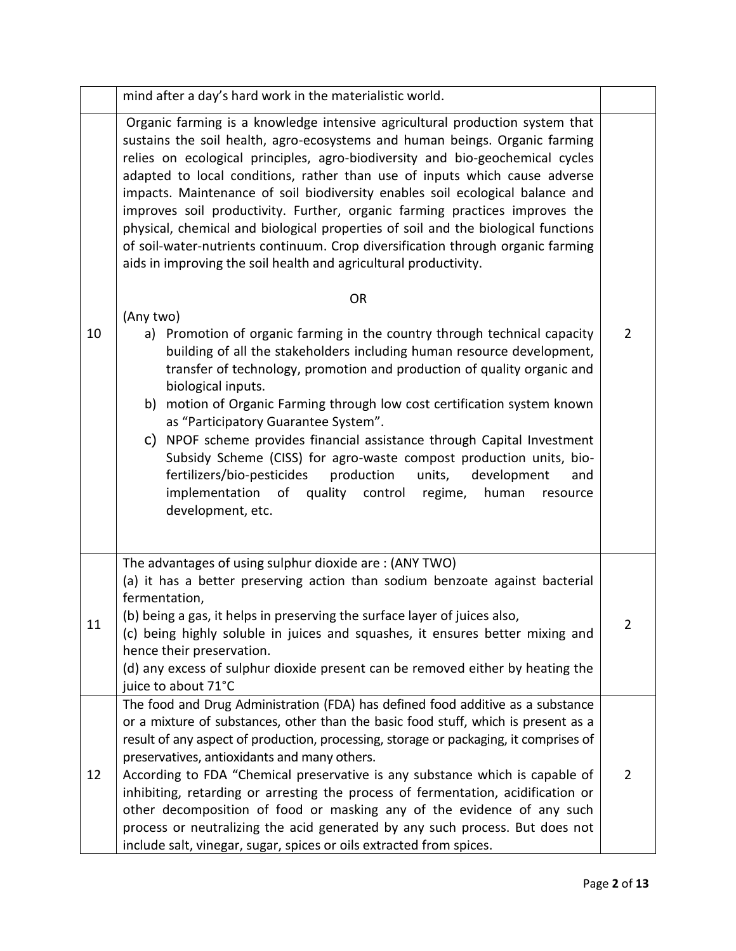|    | mind after a day's hard work in the materialistic world.                                                                                                                                                                                                                                                                                                                                                                                                                                                                                                                                                                                                                                                                               |                |
|----|----------------------------------------------------------------------------------------------------------------------------------------------------------------------------------------------------------------------------------------------------------------------------------------------------------------------------------------------------------------------------------------------------------------------------------------------------------------------------------------------------------------------------------------------------------------------------------------------------------------------------------------------------------------------------------------------------------------------------------------|----------------|
|    | Organic farming is a knowledge intensive agricultural production system that<br>sustains the soil health, agro-ecosystems and human beings. Organic farming<br>relies on ecological principles, agro-biodiversity and bio-geochemical cycles<br>adapted to local conditions, rather than use of inputs which cause adverse<br>impacts. Maintenance of soil biodiversity enables soil ecological balance and<br>improves soil productivity. Further, organic farming practices improves the<br>physical, chemical and biological properties of soil and the biological functions<br>of soil-water-nutrients continuum. Crop diversification through organic farming<br>aids in improving the soil health and agricultural productivity. |                |
|    | <b>OR</b>                                                                                                                                                                                                                                                                                                                                                                                                                                                                                                                                                                                                                                                                                                                              |                |
| 10 | (Any two)<br>Promotion of organic farming in the country through technical capacity<br>a)<br>building of all the stakeholders including human resource development,<br>transfer of technology, promotion and production of quality organic and<br>biological inputs.<br>b) motion of Organic Farming through low cost certification system known<br>as "Participatory Guarantee System".<br>C) NPOF scheme provides financial assistance through Capital Investment<br>Subsidy Scheme (CISS) for agro-waste compost production units, bio-<br>fertilizers/bio-pesticides<br>production<br>units,<br>development<br>and<br>quality control regime,<br>implementation of<br>human<br>resource<br>development, etc.                       | $\overline{2}$ |
| 11 | The advantages of using sulphur dioxide are: (ANY TWO)<br>(a) it has a better preserving action than sodium benzoate against bacterial<br>fermentation,<br>(b) being a gas, it helps in preserving the surface layer of juices also,<br>(c) being highly soluble in juices and squashes, it ensures better mixing and<br>hence their preservation.<br>(d) any excess of sulphur dioxide present can be removed either by heating the<br>juice to about 71°C                                                                                                                                                                                                                                                                            | $\overline{2}$ |
| 12 | The food and Drug Administration (FDA) has defined food additive as a substance<br>or a mixture of substances, other than the basic food stuff, which is present as a<br>result of any aspect of production, processing, storage or packaging, it comprises of<br>preservatives, antioxidants and many others.<br>According to FDA "Chemical preservative is any substance which is capable of<br>inhibiting, retarding or arresting the process of fermentation, acidification or<br>other decomposition of food or masking any of the evidence of any such<br>process or neutralizing the acid generated by any such process. But does not<br>include salt, vinegar, sugar, spices or oils extracted from spices.                    | $\overline{2}$ |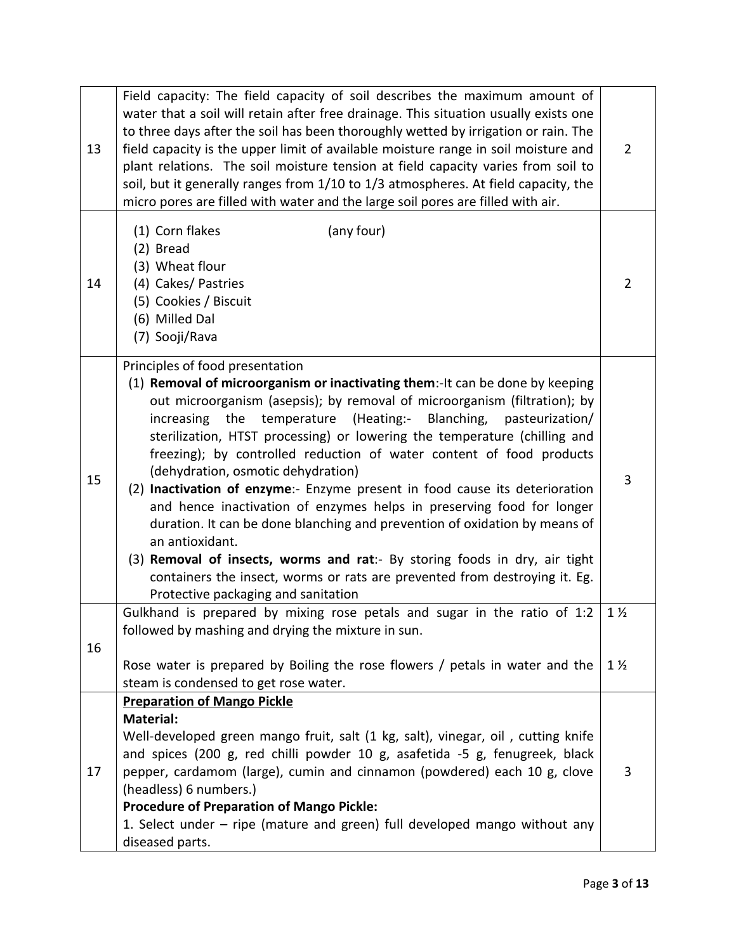| 13 | Field capacity: The field capacity of soil describes the maximum amount of<br>water that a soil will retain after free drainage. This situation usually exists one<br>to three days after the soil has been thoroughly wetted by irrigation or rain. The<br>field capacity is the upper limit of available moisture range in soil moisture and<br>plant relations. The soil moisture tension at field capacity varies from soil to<br>soil, but it generally ranges from 1/10 to 1/3 atmospheres. At field capacity, the<br>micro pores are filled with water and the large soil pores are filled with air.                                                                                                                                                                                                                                                                                                             |                |  |  |
|----|-------------------------------------------------------------------------------------------------------------------------------------------------------------------------------------------------------------------------------------------------------------------------------------------------------------------------------------------------------------------------------------------------------------------------------------------------------------------------------------------------------------------------------------------------------------------------------------------------------------------------------------------------------------------------------------------------------------------------------------------------------------------------------------------------------------------------------------------------------------------------------------------------------------------------|----------------|--|--|
| 14 | (any four)<br>(1) Corn flakes<br>(2) Bread<br>(3) Wheat flour<br>(4) Cakes/ Pastries<br>(5) Cookies / Biscuit<br>(6) Milled Dal<br>(7) Sooji/Rava                                                                                                                                                                                                                                                                                                                                                                                                                                                                                                                                                                                                                                                                                                                                                                       | $\overline{2}$ |  |  |
| 15 | Principles of food presentation<br>(1) Removal of microorganism or inactivating them:-It can be done by keeping<br>out microorganism (asepsis); by removal of microorganism (filtration); by<br>increasing the temperature (Heating:- Blanching, pasteurization/<br>sterilization, HTST processing) or lowering the temperature (chilling and<br>freezing); by controlled reduction of water content of food products<br>(dehydration, osmotic dehydration)<br>(2) Inactivation of enzyme:- Enzyme present in food cause its deterioration<br>and hence inactivation of enzymes helps in preserving food for longer<br>duration. It can be done blanching and prevention of oxidation by means of<br>an antioxidant.<br>(3) Removal of insects, worms and rat:- By storing foods in dry, air tight<br>containers the insect, worms or rats are prevented from destroying it. Eg.<br>Protective packaging and sanitation |                |  |  |
| 16 | Gulkhand is prepared by mixing rose petals and sugar in the ratio of 1:2<br>followed by mashing and drying the mixture in sun.                                                                                                                                                                                                                                                                                                                                                                                                                                                                                                                                                                                                                                                                                                                                                                                          | $1\frac{1}{2}$ |  |  |
|    | Rose water is prepared by Boiling the rose flowers / petals in water and the<br>steam is condensed to get rose water.                                                                                                                                                                                                                                                                                                                                                                                                                                                                                                                                                                                                                                                                                                                                                                                                   | $1\frac{1}{2}$ |  |  |
| 17 | <b>Preparation of Mango Pickle</b><br><b>Material:</b><br>Well-developed green mango fruit, salt (1 kg, salt), vinegar, oil, cutting knife<br>and spices (200 g, red chilli powder 10 g, asafetida -5 g, fenugreek, black<br>pepper, cardamom (large), cumin and cinnamon (powdered) each 10 g, clove<br>(headless) 6 numbers.)<br><b>Procedure of Preparation of Mango Pickle:</b><br>1. Select under – ripe (mature and green) full developed mango without any<br>diseased parts.                                                                                                                                                                                                                                                                                                                                                                                                                                    | 3              |  |  |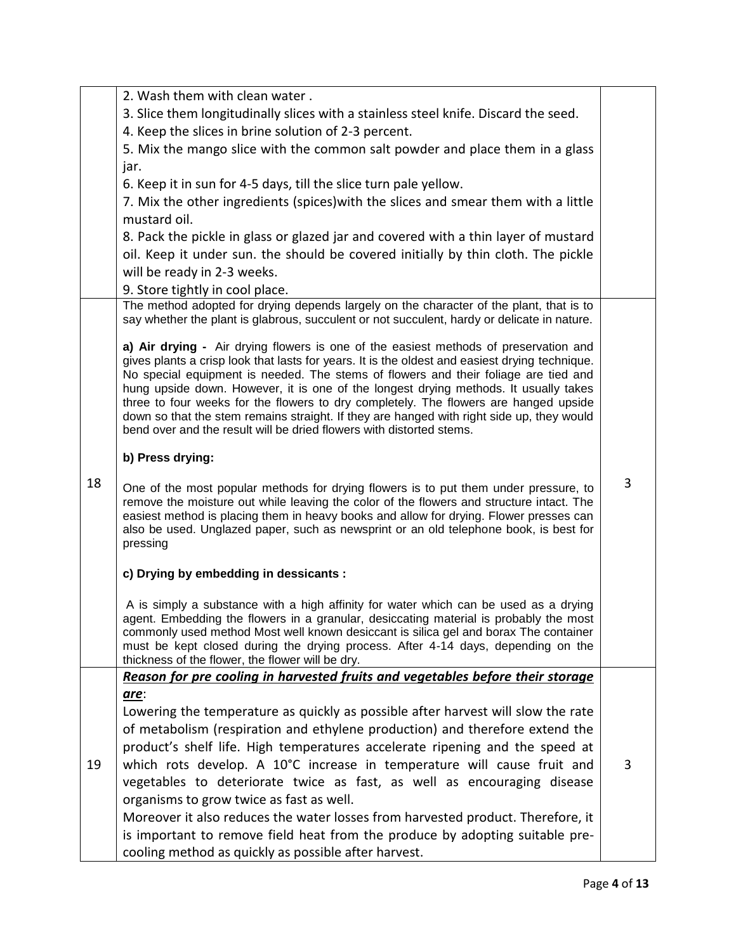|    | 2. Wash them with clean water.                                                                                                                                                        |   |  |  |  |
|----|---------------------------------------------------------------------------------------------------------------------------------------------------------------------------------------|---|--|--|--|
|    | 3. Slice them longitudinally slices with a stainless steel knife. Discard the seed.                                                                                                   |   |  |  |  |
|    | 4. Keep the slices in brine solution of 2-3 percent.                                                                                                                                  |   |  |  |  |
|    | 5. Mix the mango slice with the common salt powder and place them in a glass                                                                                                          |   |  |  |  |
|    | jar.                                                                                                                                                                                  |   |  |  |  |
|    | 6. Keep it in sun for 4-5 days, till the slice turn pale yellow.                                                                                                                      |   |  |  |  |
|    | 7. Mix the other ingredients (spices) with the slices and smear them with a little                                                                                                    |   |  |  |  |
|    | mustard oil.                                                                                                                                                                          |   |  |  |  |
|    | 8. Pack the pickle in glass or glazed jar and covered with a thin layer of mustard                                                                                                    |   |  |  |  |
|    | oil. Keep it under sun. the should be covered initially by thin cloth. The pickle                                                                                                     |   |  |  |  |
|    | will be ready in 2-3 weeks.                                                                                                                                                           |   |  |  |  |
|    | 9. Store tightly in cool place.                                                                                                                                                       |   |  |  |  |
|    | The method adopted for drying depends largely on the character of the plant, that is to                                                                                               |   |  |  |  |
|    | say whether the plant is glabrous, succulent or not succulent, hardy or delicate in nature.                                                                                           |   |  |  |  |
|    |                                                                                                                                                                                       |   |  |  |  |
|    | a) Air drying - Air drying flowers is one of the easiest methods of preservation and                                                                                                  |   |  |  |  |
|    | gives plants a crisp look that lasts for years. It is the oldest and easiest drying technique.<br>No special equipment is needed. The stems of flowers and their foliage are tied and |   |  |  |  |
|    | hung upside down. However, it is one of the longest drying methods. It usually takes                                                                                                  |   |  |  |  |
|    | three to four weeks for the flowers to dry completely. The flowers are hanged upside                                                                                                  |   |  |  |  |
|    | down so that the stem remains straight. If they are hanged with right side up, they would                                                                                             |   |  |  |  |
|    | bend over and the result will be dried flowers with distorted stems.                                                                                                                  |   |  |  |  |
|    | b) Press drying:                                                                                                                                                                      |   |  |  |  |
| 18 |                                                                                                                                                                                       | 3 |  |  |  |
|    | One of the most popular methods for drying flowers is to put them under pressure, to<br>remove the moisture out while leaving the color of the flowers and structure intact. The      |   |  |  |  |
|    | easiest method is placing them in heavy books and allow for drying. Flower presses can                                                                                                |   |  |  |  |
|    | also be used. Unglazed paper, such as newsprint or an old telephone book, is best for                                                                                                 |   |  |  |  |
|    | pressing                                                                                                                                                                              |   |  |  |  |
|    | c) Drying by embedding in dessicants :                                                                                                                                                |   |  |  |  |
|    |                                                                                                                                                                                       |   |  |  |  |
|    | A is simply a substance with a high affinity for water which can be used as a drying                                                                                                  |   |  |  |  |
|    | agent. Embedding the flowers in a granular, desiccating material is probably the most                                                                                                 |   |  |  |  |
|    | commonly used method Most well known desiccant is silica gel and borax The container<br>must be kept closed during the drying process. After 4-14 days, depending on the              |   |  |  |  |
|    | thickness of the flower, the flower will be dry.                                                                                                                                      |   |  |  |  |
|    | Reason for pre cooling in harvested fruits and vegetables before their storage                                                                                                        |   |  |  |  |
|    | are:                                                                                                                                                                                  |   |  |  |  |
|    | Lowering the temperature as quickly as possible after harvest will slow the rate                                                                                                      |   |  |  |  |
|    | of metabolism (respiration and ethylene production) and therefore extend the                                                                                                          |   |  |  |  |
|    | product's shelf life. High temperatures accelerate ripening and the speed at                                                                                                          |   |  |  |  |
| 19 | which rots develop. A 10°C increase in temperature will cause fruit and                                                                                                               | 3 |  |  |  |
|    | vegetables to deteriorate twice as fast, as well as encouraging disease                                                                                                               |   |  |  |  |
|    | organisms to grow twice as fast as well.                                                                                                                                              |   |  |  |  |
|    | Moreover it also reduces the water losses from harvested product. Therefore, it                                                                                                       |   |  |  |  |
|    | is important to remove field heat from the produce by adopting suitable pre-                                                                                                          |   |  |  |  |
|    | cooling method as quickly as possible after harvest.                                                                                                                                  |   |  |  |  |
|    |                                                                                                                                                                                       |   |  |  |  |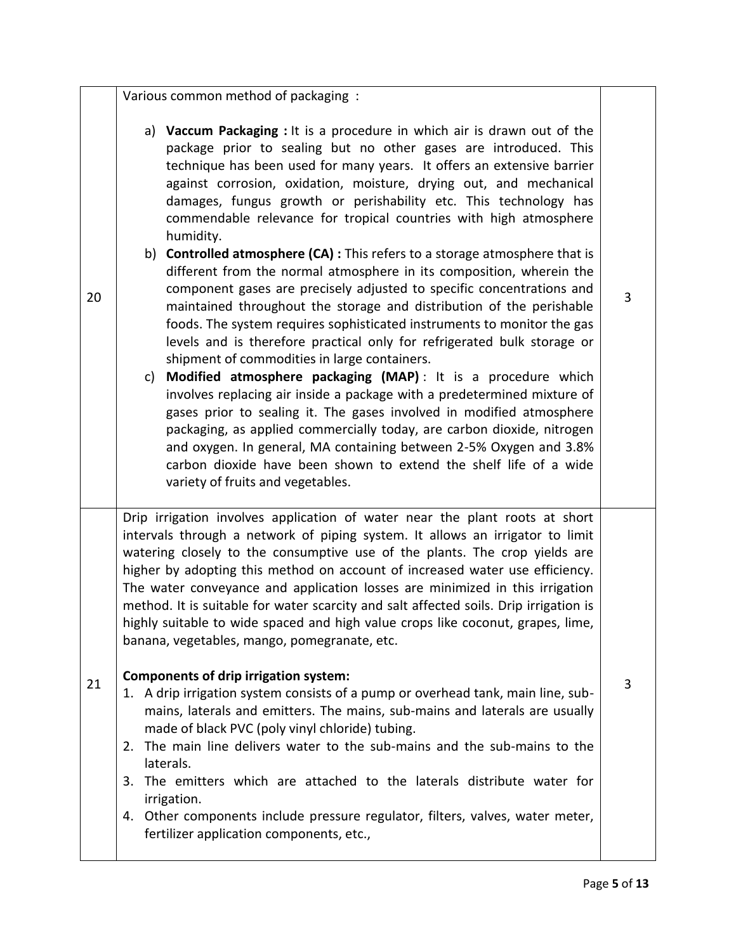|    | Various common method of packaging :                                                                                                                                                                                                                                                                                                                                                                                                                                                                                                                                                                                                                                                                                                                                                                                                                                                                                                                                                                                                                                                                                                                                                                                                                                                                                                                                                                                                                |   |
|----|-----------------------------------------------------------------------------------------------------------------------------------------------------------------------------------------------------------------------------------------------------------------------------------------------------------------------------------------------------------------------------------------------------------------------------------------------------------------------------------------------------------------------------------------------------------------------------------------------------------------------------------------------------------------------------------------------------------------------------------------------------------------------------------------------------------------------------------------------------------------------------------------------------------------------------------------------------------------------------------------------------------------------------------------------------------------------------------------------------------------------------------------------------------------------------------------------------------------------------------------------------------------------------------------------------------------------------------------------------------------------------------------------------------------------------------------------------|---|
| 20 | a) Vaccum Packaging : It is a procedure in which air is drawn out of the<br>package prior to sealing but no other gases are introduced. This<br>technique has been used for many years. It offers an extensive barrier<br>against corrosion, oxidation, moisture, drying out, and mechanical<br>damages, fungus growth or perishability etc. This technology has<br>commendable relevance for tropical countries with high atmosphere<br>humidity.<br>b) Controlled atmosphere (CA) : This refers to a storage atmosphere that is<br>different from the normal atmosphere in its composition, wherein the<br>component gases are precisely adjusted to specific concentrations and<br>maintained throughout the storage and distribution of the perishable<br>foods. The system requires sophisticated instruments to monitor the gas<br>levels and is therefore practical only for refrigerated bulk storage or<br>shipment of commodities in large containers.<br>Modified atmosphere packaging (MAP): It is a procedure which<br>c)<br>involves replacing air inside a package with a predetermined mixture of<br>gases prior to sealing it. The gases involved in modified atmosphere<br>packaging, as applied commercially today, are carbon dioxide, nitrogen<br>and oxygen. In general, MA containing between 2-5% Oxygen and 3.8%<br>carbon dioxide have been shown to extend the shelf life of a wide<br>variety of fruits and vegetables. | 3 |
| 21 | Drip irrigation involves application of water near the plant roots at short<br>intervals through a network of piping system. It allows an irrigator to limit<br>watering closely to the consumptive use of the plants. The crop yields are<br>higher by adopting this method on account of increased water use efficiency.<br>The water conveyance and application losses are minimized in this irrigation<br>method. It is suitable for water scarcity and salt affected soils. Drip irrigation is<br>highly suitable to wide spaced and high value crops like coconut, grapes, lime,<br>banana, vegetables, mango, pomegranate, etc.<br><b>Components of drip irrigation system:</b><br>1. A drip irrigation system consists of a pump or overhead tank, main line, sub-<br>mains, laterals and emitters. The mains, sub-mains and laterals are usually<br>made of black PVC (poly vinyl chloride) tubing.<br>The main line delivers water to the sub-mains and the sub-mains to the<br>2.<br>laterals.<br>3. The emitters which are attached to the laterals distribute water for<br>irrigation.<br>4. Other components include pressure regulator, filters, valves, water meter,<br>fertilizer application components, etc.,                                                                                                                                                                                                                    | 3 |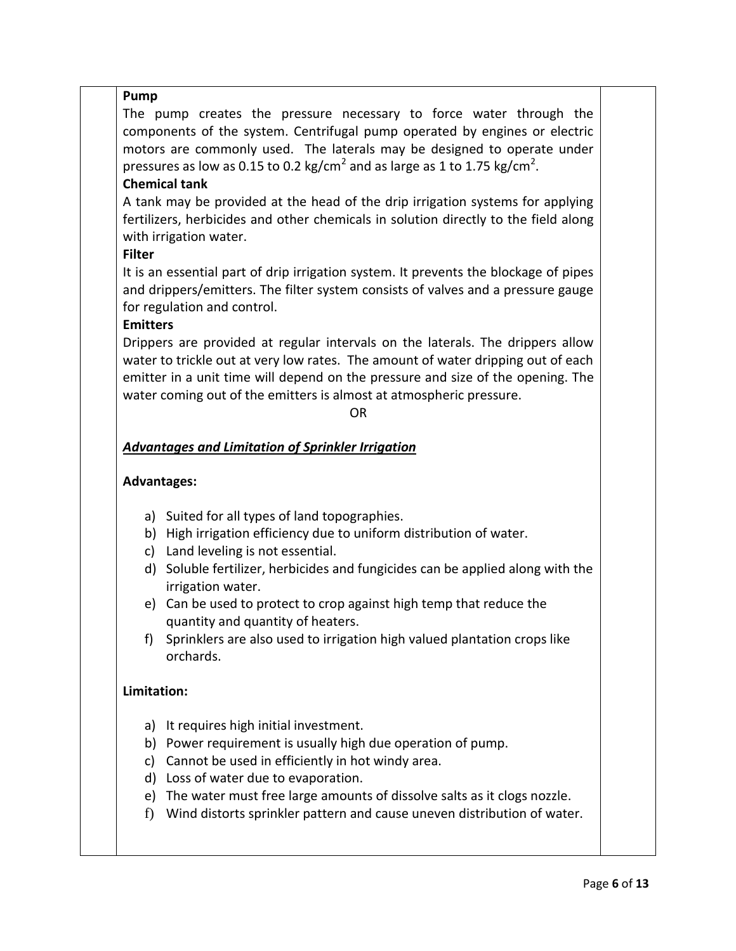#### **Pump**

The pump creates the pressure necessary to force water through the components of the system. Centrifugal pump operated by engines or electric motors are commonly used. The laterals may be designed to operate under pressures as low as 0.15 to 0.2 kg/cm<sup>2</sup> and as large as 1 to 1.75 kg/cm<sup>2</sup>.

## **Chemical tank**

A tank may be provided at the head of the drip irrigation systems for applying fertilizers, herbicides and other chemicals in solution directly to the field along with irrigation water.

## **Filter**

It is an essential part of drip irrigation system. It prevents the blockage of pipes and drippers/emitters. The filter system consists of valves and a pressure gauge for regulation and control.

## **Emitters**

Drippers are provided at regular intervals on the laterals. The drippers allow water to trickle out at very low rates. The amount of water dripping out of each emitter in a unit time will depend on the pressure and size of the opening. The water coming out of the emitters is almost at atmospheric pressure.

#### OR

## *Advantages and Limitation of Sprinkler Irrigation*

### **Advantages:**

- a) Suited for all types of land topographies.
- b) High irrigation efficiency due to uniform distribution of water.
- c) Land leveling is not essential.
- d) Soluble fertilizer, herbicides and fungicides can be applied along with the irrigation water.
- e) Can be used to protect to crop against high temp that reduce the quantity and quantity of heaters.
- f) Sprinklers are also used to irrigation high valued plantation crops like orchards.

#### **Limitation:**

- a) It requires high initial investment.
- b) Power requirement is usually high due operation of pump.
- c) Cannot be used in efficiently in hot windy area.
- d) Loss of water due to evaporation.
- e) The water must free large amounts of dissolve salts as it clogs nozzle.
- f) Wind distorts sprinkler pattern and cause uneven distribution of water.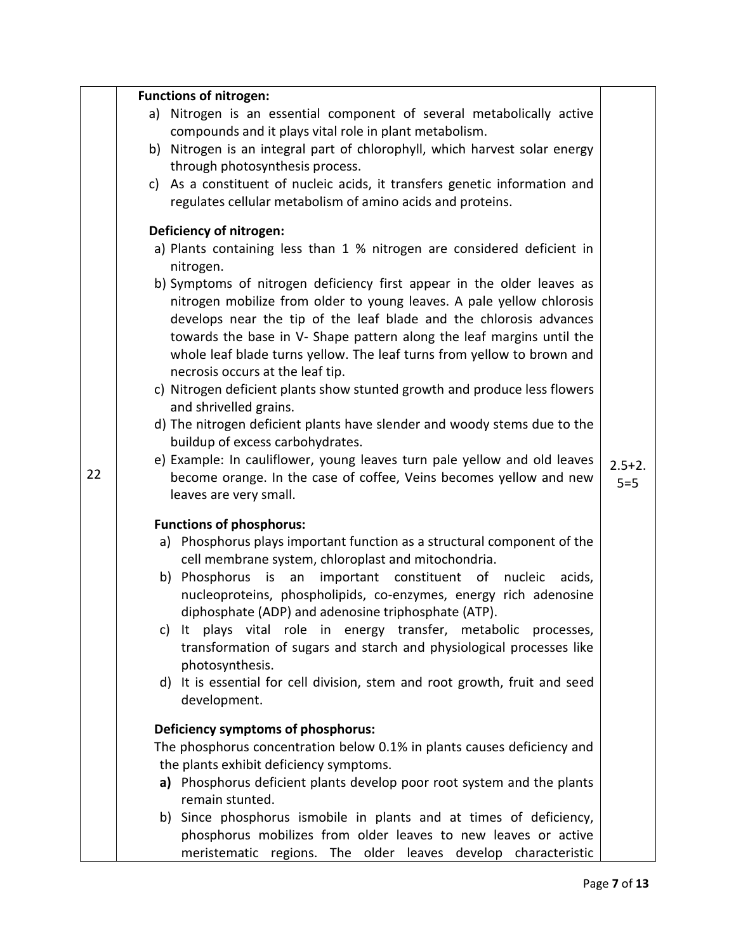|    | <b>Functions of nitrogen:</b>                                                                              |            |  |  |  |
|----|------------------------------------------------------------------------------------------------------------|------------|--|--|--|
|    | a) Nitrogen is an essential component of several metabolically active                                      |            |  |  |  |
|    | compounds and it plays vital role in plant metabolism.                                                     |            |  |  |  |
|    | b) Nitrogen is an integral part of chlorophyll, which harvest solar energy                                 |            |  |  |  |
|    | through photosynthesis process.                                                                            |            |  |  |  |
|    | c) As a constituent of nucleic acids, it transfers genetic information and                                 |            |  |  |  |
|    | regulates cellular metabolism of amino acids and proteins.                                                 |            |  |  |  |
|    | Deficiency of nitrogen:                                                                                    |            |  |  |  |
|    | a) Plants containing less than 1 % nitrogen are considered deficient in                                    |            |  |  |  |
|    | nitrogen.                                                                                                  |            |  |  |  |
|    | b) Symptoms of nitrogen deficiency first appear in the older leaves as                                     |            |  |  |  |
|    | nitrogen mobilize from older to young leaves. A pale yellow chlorosis                                      |            |  |  |  |
|    | develops near the tip of the leaf blade and the chlorosis advances                                         |            |  |  |  |
|    | towards the base in V- Shape pattern along the leaf margins until the                                      |            |  |  |  |
|    | whole leaf blade turns yellow. The leaf turns from yellow to brown and<br>necrosis occurs at the leaf tip. |            |  |  |  |
|    | c) Nitrogen deficient plants show stunted growth and produce less flowers                                  |            |  |  |  |
|    | and shrivelled grains.                                                                                     |            |  |  |  |
|    | d) The nitrogen deficient plants have slender and woody stems due to the                                   |            |  |  |  |
|    | buildup of excess carbohydrates.                                                                           |            |  |  |  |
|    | e) Example: In cauliflower, young leaves turn pale yellow and old leaves                                   | $2.5 + 2.$ |  |  |  |
| 22 | become orange. In the case of coffee, Veins becomes yellow and new                                         | $5 = 5$    |  |  |  |
|    | leaves are very small.                                                                                     |            |  |  |  |
|    | <b>Functions of phosphorus:</b>                                                                            |            |  |  |  |
|    | a) Phosphorus plays important function as a structural component of the                                    |            |  |  |  |
|    | cell membrane system, chloroplast and mitochondria.                                                        |            |  |  |  |
|    | b) Phosphorus is an important constituent of<br>nucleic<br>acids,                                          |            |  |  |  |
|    | nucleoproteins, phospholipids, co-enzymes, energy rich adenosine                                           |            |  |  |  |
|    | diphosphate (ADP) and adenosine triphosphate (ATP).                                                        |            |  |  |  |
|    | c) It plays vital role in energy transfer, metabolic processes,                                            |            |  |  |  |
|    | transformation of sugars and starch and physiological processes like                                       |            |  |  |  |
|    | photosynthesis.<br>d) It is essential for cell division, stem and root growth, fruit and seed              |            |  |  |  |
|    | development.                                                                                               |            |  |  |  |
|    |                                                                                                            |            |  |  |  |
|    | Deficiency symptoms of phosphorus:                                                                         |            |  |  |  |
|    | The phosphorus concentration below 0.1% in plants causes deficiency and                                    |            |  |  |  |
|    | the plants exhibit deficiency symptoms.                                                                    |            |  |  |  |
|    | a) Phosphorus deficient plants develop poor root system and the plants<br>remain stunted.                  |            |  |  |  |
|    | b) Since phosphorus ismobile in plants and at times of deficiency,                                         |            |  |  |  |
|    | phosphorus mobilizes from older leaves to new leaves or active                                             |            |  |  |  |
|    | meristematic regions. The older leaves develop characteristic                                              |            |  |  |  |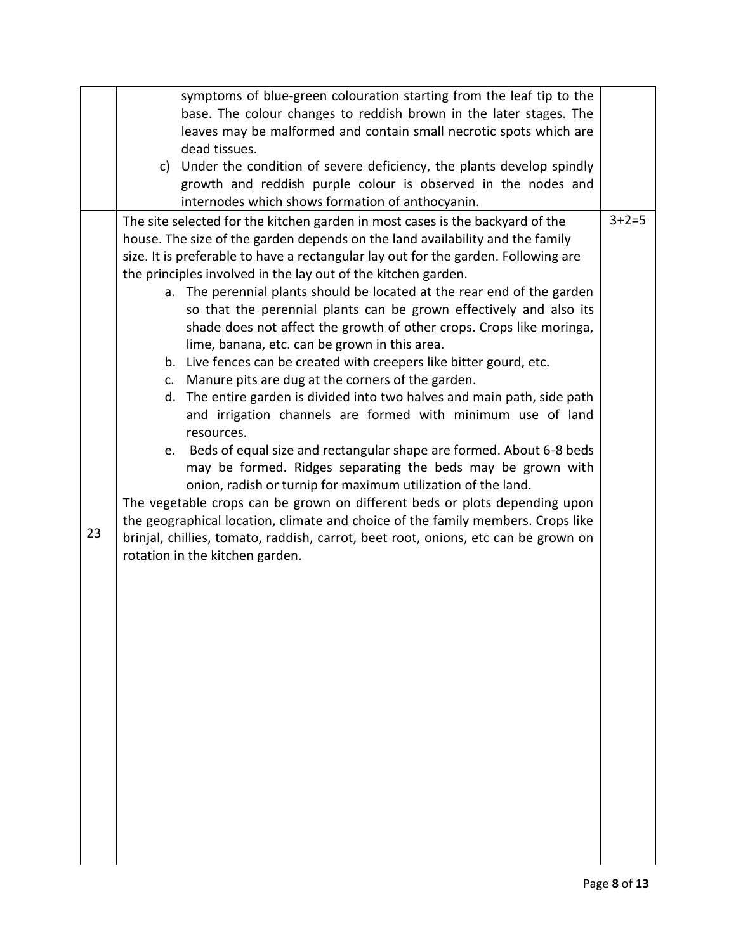|    |                                                                               | symptoms of blue-green colouration starting from the leaf tip to the               |             |  |  |  |
|----|-------------------------------------------------------------------------------|------------------------------------------------------------------------------------|-------------|--|--|--|
|    |                                                                               | base. The colour changes to reddish brown in the later stages. The                 |             |  |  |  |
|    |                                                                               | leaves may be malformed and contain small necrotic spots which are                 |             |  |  |  |
|    |                                                                               | dead tissues.                                                                      |             |  |  |  |
|    |                                                                               | c) Under the condition of severe deficiency, the plants develop spindly            |             |  |  |  |
|    |                                                                               | growth and reddish purple colour is observed in the nodes and                      |             |  |  |  |
|    |                                                                               | internodes which shows formation of anthocyanin.                                   |             |  |  |  |
|    |                                                                               | The site selected for the kitchen garden in most cases is the backyard of the      | $3 + 2 = 5$ |  |  |  |
|    | house. The size of the garden depends on the land availability and the family |                                                                                    |             |  |  |  |
|    |                                                                               | size. It is preferable to have a rectangular lay out for the garden. Following are |             |  |  |  |
|    |                                                                               | the principles involved in the lay out of the kitchen garden.                      |             |  |  |  |
|    |                                                                               | a. The perennial plants should be located at the rear end of the garden            |             |  |  |  |
|    |                                                                               | so that the perennial plants can be grown effectively and also its                 |             |  |  |  |
|    |                                                                               | shade does not affect the growth of other crops. Crops like moringa,               |             |  |  |  |
|    |                                                                               | lime, banana, etc. can be grown in this area.                                      |             |  |  |  |
|    |                                                                               | b. Live fences can be created with creepers like bitter gourd, etc.                |             |  |  |  |
|    |                                                                               | c. Manure pits are dug at the corners of the garden.                               |             |  |  |  |
|    |                                                                               | d. The entire garden is divided into two halves and main path, side path           |             |  |  |  |
|    |                                                                               | and irrigation channels are formed with minimum use of land                        |             |  |  |  |
|    |                                                                               | resources.                                                                         |             |  |  |  |
|    | e.                                                                            | Beds of equal size and rectangular shape are formed. About 6-8 beds                |             |  |  |  |
|    |                                                                               | may be formed. Ridges separating the beds may be grown with                        |             |  |  |  |
|    |                                                                               | onion, radish or turnip for maximum utilization of the land.                       |             |  |  |  |
|    |                                                                               | The vegetable crops can be grown on different beds or plots depending upon         |             |  |  |  |
|    |                                                                               | the geographical location, climate and choice of the family members. Crops like    |             |  |  |  |
| 23 |                                                                               | brinjal, chillies, tomato, raddish, carrot, beet root, onions, etc can be grown on |             |  |  |  |
|    |                                                                               | rotation in the kitchen garden.                                                    |             |  |  |  |
|    |                                                                               |                                                                                    |             |  |  |  |
|    |                                                                               |                                                                                    |             |  |  |  |
|    |                                                                               |                                                                                    |             |  |  |  |
|    |                                                                               |                                                                                    |             |  |  |  |
|    |                                                                               |                                                                                    |             |  |  |  |
|    |                                                                               |                                                                                    |             |  |  |  |
|    |                                                                               |                                                                                    |             |  |  |  |
|    |                                                                               |                                                                                    |             |  |  |  |
|    |                                                                               |                                                                                    |             |  |  |  |
|    |                                                                               |                                                                                    |             |  |  |  |
|    |                                                                               |                                                                                    |             |  |  |  |
|    |                                                                               |                                                                                    |             |  |  |  |
|    |                                                                               |                                                                                    |             |  |  |  |
|    |                                                                               |                                                                                    |             |  |  |  |
|    |                                                                               |                                                                                    |             |  |  |  |
|    |                                                                               |                                                                                    |             |  |  |  |
|    |                                                                               |                                                                                    |             |  |  |  |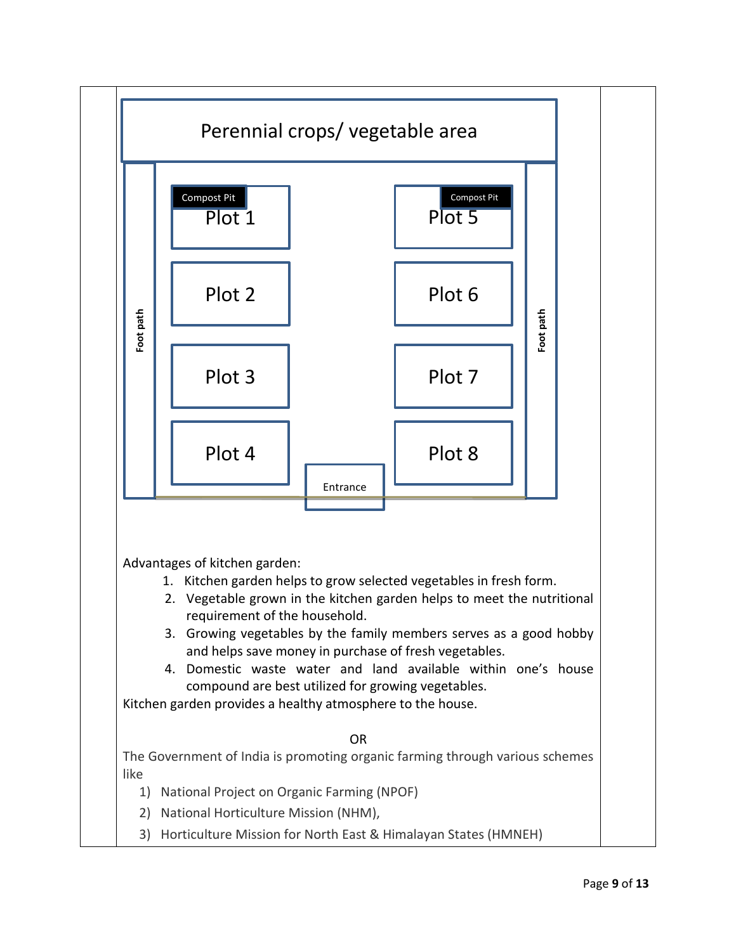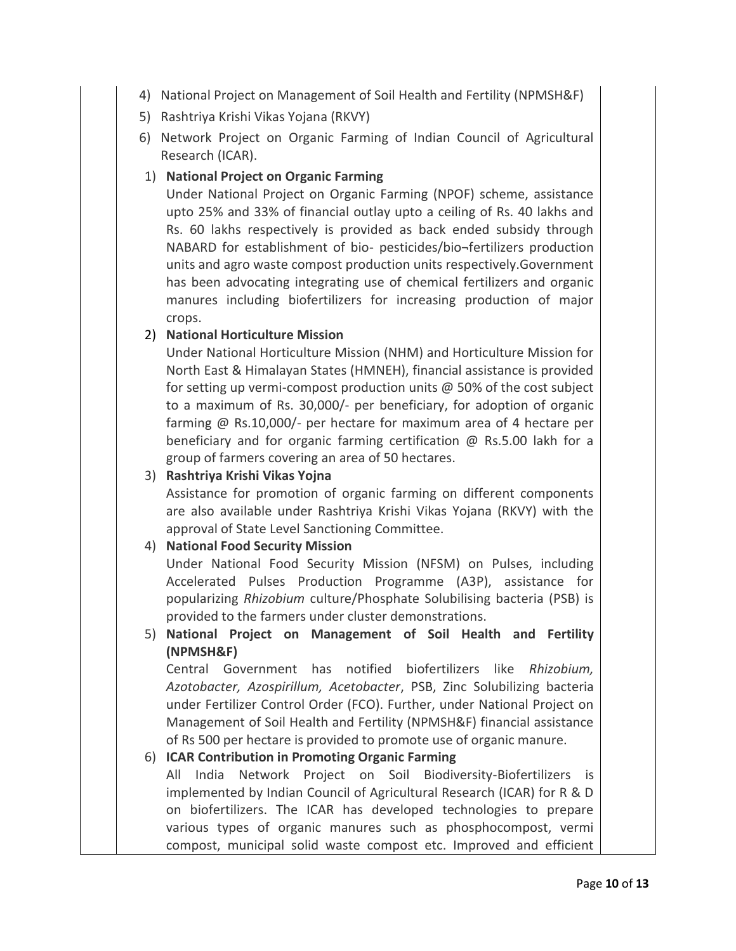- 4) National Project on Management of Soil Health and Fertility (NPMSH&F)
- 5) Rashtriya Krishi Vikas Yojana (RKVY)
- 6) Network Project on Organic Farming of Indian Council of Agricultural Research (ICAR).

## 1) **National Project on Organic Farming**

Under National Project on Organic Farming (NPOF) scheme, assistance upto 25% and 33% of financial outlay upto a ceiling of Rs. 40 lakhs and Rs. 60 lakhs respectively is provided as back ended subsidy through NABARD for establishment of bio- pesticides/bio¬fertilizers production units and agro waste compost production units respectively.Government has been advocating integrating use of chemical fertilizers and organic manures including biofertilizers for increasing production of major crops.

## 2) **National Horticulture Mission**

Under National Horticulture Mission (NHM) and Horticulture Mission for North East & Himalayan States (HMNEH), financial assistance is provided for setting up vermi-compost production units @ 50% of the cost subject to a maximum of Rs. 30,000/- per beneficiary, for adoption of organic farming @ Rs.10,000/- per hectare for maximum area of 4 hectare per beneficiary and for organic farming certification @ Rs.5.00 lakh for a group of farmers covering an area of 50 hectares.

## 3) **Rashtriya Krishi Vikas Yojna**

Assistance for promotion of organic farming on different components are also available under Rashtriya Krishi Vikas Yojana (RKVY) with the approval of State Level Sanctioning Committee.

#### 4) **National Food Security Mission**

Under National Food Security Mission (NFSM) on Pulses, including Accelerated Pulses Production Programme (A3P), assistance for popularizing *Rhizobium* culture/Phosphate Solubilising bacteria (PSB) is provided to the farmers under cluster demonstrations.

5) **National Project on Management of Soil Health and Fertility (NPMSH&F)**

Central Government has notified biofertilizers like *Rhizobium, Azotobacter, Azospirillum, Acetobacter*, PSB, Zinc Solubilizing bacteria under Fertilizer Control Order (FCO). Further, under National Project on Management of Soil Health and Fertility (NPMSH&F) financial assistance of Rs 500 per hectare is provided to promote use of organic manure.

## 6) **ICAR Contribution in Promoting Organic Farming**

All India Network Project on Soil Biodiversity-Biofertilizers is implemented by Indian Council of Agricultural Research (ICAR) for R & D on biofertilizers. The ICAR has developed technologies to prepare various types of organic manures such as phosphocompost, vermi compost, municipal solid waste compost etc. Improved and efficient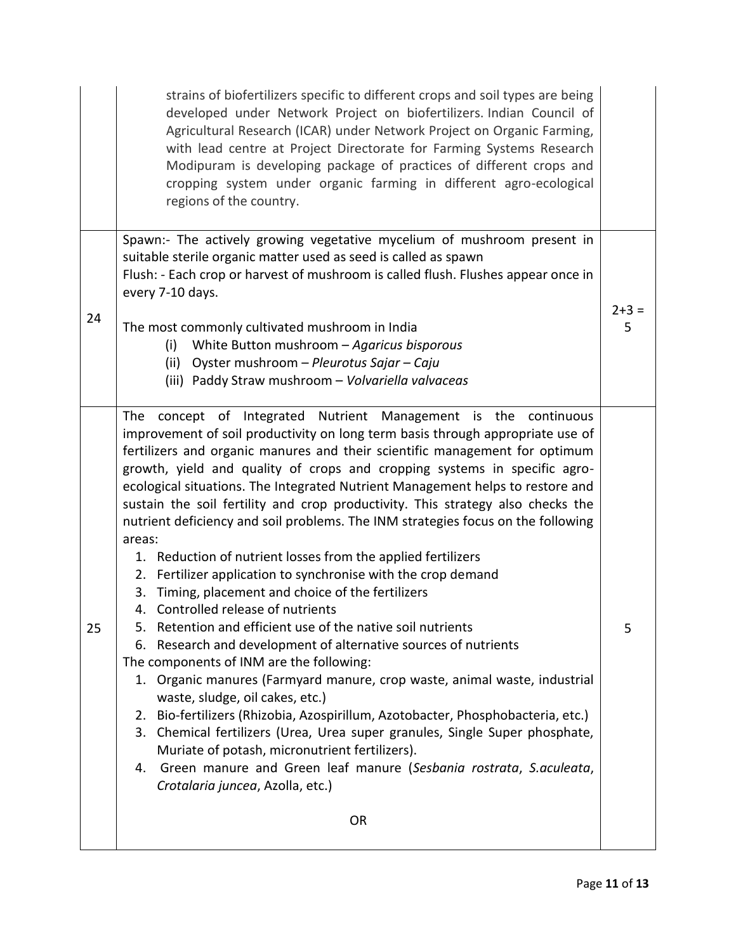|    | strains of biofertilizers specific to different crops and soil types are being<br>developed under Network Project on biofertilizers. Indian Council of<br>Agricultural Research (ICAR) under Network Project on Organic Farming,<br>with lead centre at Project Directorate for Farming Systems Research<br>Modipuram is developing package of practices of different crops and<br>cropping system under organic farming in different agro-ecological<br>regions of the country.                                                                                                                                                                                                                                                                                                                                                                                                                                                                                                                                                                                                                                                                                                                                                                                                                                                                                                                                                                                            |                |  |  |
|----|-----------------------------------------------------------------------------------------------------------------------------------------------------------------------------------------------------------------------------------------------------------------------------------------------------------------------------------------------------------------------------------------------------------------------------------------------------------------------------------------------------------------------------------------------------------------------------------------------------------------------------------------------------------------------------------------------------------------------------------------------------------------------------------------------------------------------------------------------------------------------------------------------------------------------------------------------------------------------------------------------------------------------------------------------------------------------------------------------------------------------------------------------------------------------------------------------------------------------------------------------------------------------------------------------------------------------------------------------------------------------------------------------------------------------------------------------------------------------------|----------------|--|--|
|    | Spawn:- The actively growing vegetative mycelium of mushroom present in<br>suitable sterile organic matter used as seed is called as spawn<br>Flush: - Each crop or harvest of mushroom is called flush. Flushes appear once in<br>every 7-10 days.                                                                                                                                                                                                                                                                                                                                                                                                                                                                                                                                                                                                                                                                                                                                                                                                                                                                                                                                                                                                                                                                                                                                                                                                                         |                |  |  |
| 24 | The most commonly cultivated mushroom in India<br>White Button mushroom - Agaricus bisporous<br>(i)<br>(ii) Oyster mushroom - Pleurotus Sajar - Caju<br>(iii) Paddy Straw mushroom - Volvariella valvaceas                                                                                                                                                                                                                                                                                                                                                                                                                                                                                                                                                                                                                                                                                                                                                                                                                                                                                                                                                                                                                                                                                                                                                                                                                                                                  | $2 + 3 =$<br>5 |  |  |
| 25 | concept of Integrated Nutrient Management is the continuous<br>The<br>improvement of soil productivity on long term basis through appropriate use of<br>fertilizers and organic manures and their scientific management for optimum<br>growth, yield and quality of crops and cropping systems in specific agro-<br>ecological situations. The Integrated Nutrient Management helps to restore and<br>sustain the soil fertility and crop productivity. This strategy also checks the<br>nutrient deficiency and soil problems. The INM strategies focus on the following<br>areas:<br>1. Reduction of nutrient losses from the applied fertilizers<br>2. Fertilizer application to synchronise with the crop demand<br>Timing, placement and choice of the fertilizers<br>3.<br>4. Controlled release of nutrients<br>5.<br>Retention and efficient use of the native soil nutrients<br>Research and development of alternative sources of nutrients<br>6.<br>The components of INM are the following:<br>1. Organic manures (Farmyard manure, crop waste, animal waste, industrial<br>waste, sludge, oil cakes, etc.)<br>2. Bio-fertilizers (Rhizobia, Azospirillum, Azotobacter, Phosphobacteria, etc.)<br>Chemical fertilizers (Urea, Urea super granules, Single Super phosphate,<br>3.<br>Muriate of potash, micronutrient fertilizers).<br>Green manure and Green leaf manure (Sesbania rostrata, S.aculeata,<br>4.<br>Crotalaria juncea, Azolla, etc.)<br><b>OR</b> | 5              |  |  |
|    |                                                                                                                                                                                                                                                                                                                                                                                                                                                                                                                                                                                                                                                                                                                                                                                                                                                                                                                                                                                                                                                                                                                                                                                                                                                                                                                                                                                                                                                                             |                |  |  |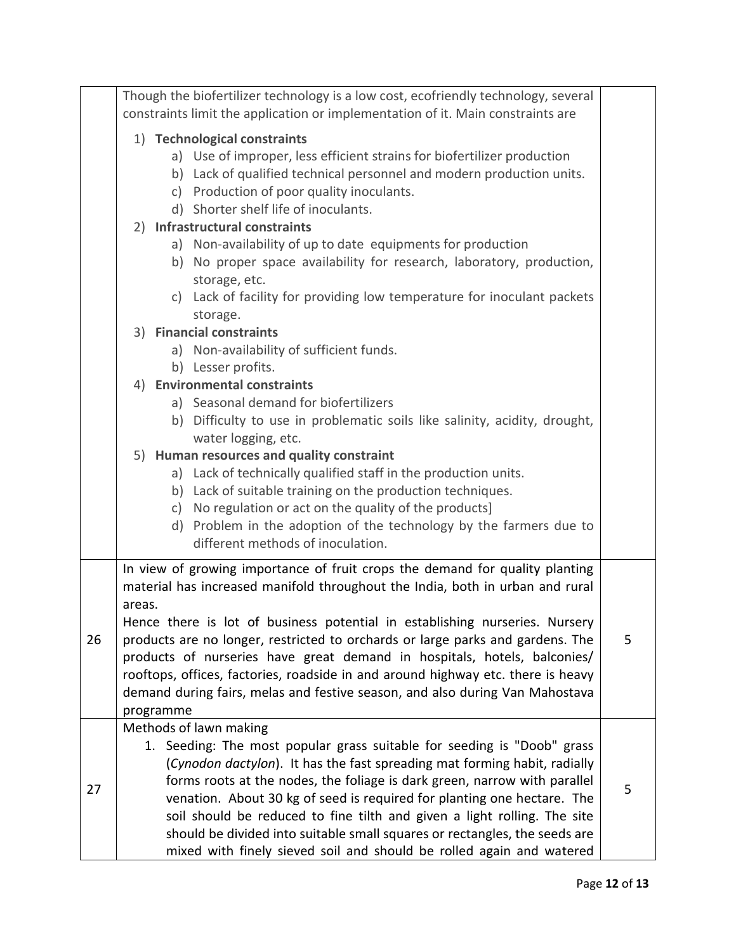|                                                                                                         | Though the biofertilizer technology is a low cost, ecofriendly technology, several<br>constraints limit the application or implementation of it. Main constraints are |  |                                                                                                                                                                                                                                                                                                                                                                                                                                                                                                                                                                                                                                                                                                                                              |   |  |
|---------------------------------------------------------------------------------------------------------|-----------------------------------------------------------------------------------------------------------------------------------------------------------------------|--|----------------------------------------------------------------------------------------------------------------------------------------------------------------------------------------------------------------------------------------------------------------------------------------------------------------------------------------------------------------------------------------------------------------------------------------------------------------------------------------------------------------------------------------------------------------------------------------------------------------------------------------------------------------------------------------------------------------------------------------------|---|--|
|                                                                                                         |                                                                                                                                                                       |  |                                                                                                                                                                                                                                                                                                                                                                                                                                                                                                                                                                                                                                                                                                                                              |   |  |
| 1) Technological constraints<br>a) Use of improper, less efficient strains for biofertilizer production |                                                                                                                                                                       |  |                                                                                                                                                                                                                                                                                                                                                                                                                                                                                                                                                                                                                                                                                                                                              |   |  |
|                                                                                                         |                                                                                                                                                                       |  |                                                                                                                                                                                                                                                                                                                                                                                                                                                                                                                                                                                                                                                                                                                                              |   |  |
|                                                                                                         |                                                                                                                                                                       |  | b) Lack of qualified technical personnel and modern production units.                                                                                                                                                                                                                                                                                                                                                                                                                                                                                                                                                                                                                                                                        |   |  |
|                                                                                                         |                                                                                                                                                                       |  | c) Production of poor quality inoculants.                                                                                                                                                                                                                                                                                                                                                                                                                                                                                                                                                                                                                                                                                                    |   |  |
|                                                                                                         |                                                                                                                                                                       |  | d) Shorter shelf life of inoculants.                                                                                                                                                                                                                                                                                                                                                                                                                                                                                                                                                                                                                                                                                                         |   |  |
|                                                                                                         |                                                                                                                                                                       |  | 2) Infrastructural constraints                                                                                                                                                                                                                                                                                                                                                                                                                                                                                                                                                                                                                                                                                                               |   |  |
|                                                                                                         |                                                                                                                                                                       |  | a) Non-availability of up to date equipments for production                                                                                                                                                                                                                                                                                                                                                                                                                                                                                                                                                                                                                                                                                  |   |  |
|                                                                                                         |                                                                                                                                                                       |  | b) No proper space availability for research, laboratory, production,                                                                                                                                                                                                                                                                                                                                                                                                                                                                                                                                                                                                                                                                        |   |  |
|                                                                                                         |                                                                                                                                                                       |  | storage, etc.                                                                                                                                                                                                                                                                                                                                                                                                                                                                                                                                                                                                                                                                                                                                |   |  |
|                                                                                                         |                                                                                                                                                                       |  | c) Lack of facility for providing low temperature for inoculant packets                                                                                                                                                                                                                                                                                                                                                                                                                                                                                                                                                                                                                                                                      |   |  |
|                                                                                                         |                                                                                                                                                                       |  | storage.<br>3) Financial constraints                                                                                                                                                                                                                                                                                                                                                                                                                                                                                                                                                                                                                                                                                                         |   |  |
|                                                                                                         |                                                                                                                                                                       |  | a) Non-availability of sufficient funds.                                                                                                                                                                                                                                                                                                                                                                                                                                                                                                                                                                                                                                                                                                     |   |  |
|                                                                                                         |                                                                                                                                                                       |  | b) Lesser profits.                                                                                                                                                                                                                                                                                                                                                                                                                                                                                                                                                                                                                                                                                                                           |   |  |
|                                                                                                         |                                                                                                                                                                       |  | 4) Environmental constraints                                                                                                                                                                                                                                                                                                                                                                                                                                                                                                                                                                                                                                                                                                                 |   |  |
|                                                                                                         |                                                                                                                                                                       |  | a) Seasonal demand for biofertilizers                                                                                                                                                                                                                                                                                                                                                                                                                                                                                                                                                                                                                                                                                                        |   |  |
|                                                                                                         |                                                                                                                                                                       |  | b) Difficulty to use in problematic soils like salinity, acidity, drought,                                                                                                                                                                                                                                                                                                                                                                                                                                                                                                                                                                                                                                                                   |   |  |
|                                                                                                         |                                                                                                                                                                       |  | water logging, etc.                                                                                                                                                                                                                                                                                                                                                                                                                                                                                                                                                                                                                                                                                                                          |   |  |
|                                                                                                         |                                                                                                                                                                       |  | 5) Human resources and quality constraint                                                                                                                                                                                                                                                                                                                                                                                                                                                                                                                                                                                                                                                                                                    |   |  |
|                                                                                                         |                                                                                                                                                                       |  | a) Lack of technically qualified staff in the production units.                                                                                                                                                                                                                                                                                                                                                                                                                                                                                                                                                                                                                                                                              |   |  |
|                                                                                                         |                                                                                                                                                                       |  | b) Lack of suitable training on the production techniques.                                                                                                                                                                                                                                                                                                                                                                                                                                                                                                                                                                                                                                                                                   |   |  |
|                                                                                                         |                                                                                                                                                                       |  | c) No regulation or act on the quality of the products]                                                                                                                                                                                                                                                                                                                                                                                                                                                                                                                                                                                                                                                                                      |   |  |
|                                                                                                         |                                                                                                                                                                       |  | d) Problem in the adoption of the technology by the farmers due to                                                                                                                                                                                                                                                                                                                                                                                                                                                                                                                                                                                                                                                                           |   |  |
|                                                                                                         |                                                                                                                                                                       |  | different methods of inoculation.                                                                                                                                                                                                                                                                                                                                                                                                                                                                                                                                                                                                                                                                                                            |   |  |
|                                                                                                         | In view of growing importance of fruit crops the demand for quality planting                                                                                          |  |                                                                                                                                                                                                                                                                                                                                                                                                                                                                                                                                                                                                                                                                                                                                              |   |  |
|                                                                                                         |                                                                                                                                                                       |  | material has increased manifold throughout the India, both in urban and rural                                                                                                                                                                                                                                                                                                                                                                                                                                                                                                                                                                                                                                                                |   |  |
|                                                                                                         | areas.                                                                                                                                                                |  |                                                                                                                                                                                                                                                                                                                                                                                                                                                                                                                                                                                                                                                                                                                                              |   |  |
|                                                                                                         | Hence there is lot of business potential in establishing nurseries. Nursery                                                                                           |  |                                                                                                                                                                                                                                                                                                                                                                                                                                                                                                                                                                                                                                                                                                                                              |   |  |
| 26                                                                                                      | products are no longer, restricted to orchards or large parks and gardens. The<br>5                                                                                   |  |                                                                                                                                                                                                                                                                                                                                                                                                                                                                                                                                                                                                                                                                                                                                              |   |  |
|                                                                                                         | products of nurseries have great demand in hospitals, hotels, balconies/                                                                                              |  |                                                                                                                                                                                                                                                                                                                                                                                                                                                                                                                                                                                                                                                                                                                                              |   |  |
|                                                                                                         |                                                                                                                                                                       |  |                                                                                                                                                                                                                                                                                                                                                                                                                                                                                                                                                                                                                                                                                                                                              |   |  |
|                                                                                                         |                                                                                                                                                                       |  |                                                                                                                                                                                                                                                                                                                                                                                                                                                                                                                                                                                                                                                                                                                                              |   |  |
|                                                                                                         |                                                                                                                                                                       |  |                                                                                                                                                                                                                                                                                                                                                                                                                                                                                                                                                                                                                                                                                                                                              |   |  |
|                                                                                                         |                                                                                                                                                                       |  |                                                                                                                                                                                                                                                                                                                                                                                                                                                                                                                                                                                                                                                                                                                                              |   |  |
|                                                                                                         |                                                                                                                                                                       |  |                                                                                                                                                                                                                                                                                                                                                                                                                                                                                                                                                                                                                                                                                                                                              |   |  |
|                                                                                                         |                                                                                                                                                                       |  |                                                                                                                                                                                                                                                                                                                                                                                                                                                                                                                                                                                                                                                                                                                                              |   |  |
| 27                                                                                                      |                                                                                                                                                                       |  |                                                                                                                                                                                                                                                                                                                                                                                                                                                                                                                                                                                                                                                                                                                                              | 5 |  |
|                                                                                                         |                                                                                                                                                                       |  |                                                                                                                                                                                                                                                                                                                                                                                                                                                                                                                                                                                                                                                                                                                                              |   |  |
|                                                                                                         |                                                                                                                                                                       |  |                                                                                                                                                                                                                                                                                                                                                                                                                                                                                                                                                                                                                                                                                                                                              |   |  |
|                                                                                                         |                                                                                                                                                                       |  |                                                                                                                                                                                                                                                                                                                                                                                                                                                                                                                                                                                                                                                                                                                                              |   |  |
|                                                                                                         | programme                                                                                                                                                             |  | rooftops, offices, factories, roadside in and around highway etc. there is heavy<br>demand during fairs, melas and festive season, and also during Van Mahostava<br>Methods of lawn making<br>1. Seeding: The most popular grass suitable for seeding is "Doob" grass<br>(Cynodon dactylon). It has the fast spreading mat forming habit, radially<br>forms roots at the nodes, the foliage is dark green, narrow with parallel<br>venation. About 30 kg of seed is required for planting one hectare. The<br>soil should be reduced to fine tilth and given a light rolling. The site<br>should be divided into suitable small squares or rectangles, the seeds are<br>mixed with finely sieved soil and should be rolled again and watered |   |  |